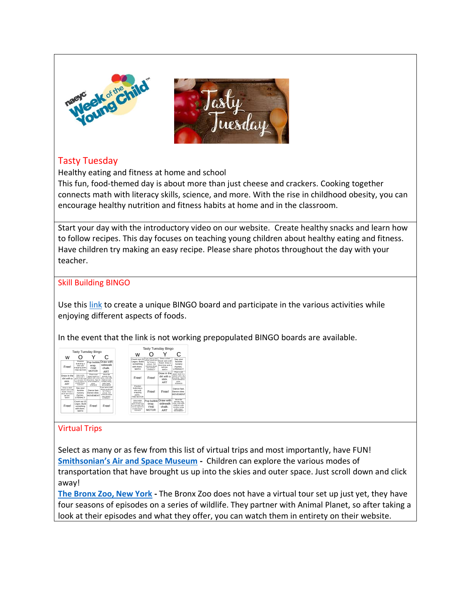

## Tasty Tuesday

Healthy eating and fitness at home and school

This fun, food-themed day is about more than just cheese and crackers. Cooking together connects math with literacy skills, science, and more. With the rise in childhood obesity, you can encourage healthy nutrition and fitness habits at home and in the classroom.

Start your day with the introductory video on our website. Create healthy snacks and learn how to follow recipes. This day focuses on teaching young children about healthy eating and fitness. Have children try making an easy recipe. Please share photos throughout the day with your teacher.

## Skill Building BINGO

Use this [link](http://bingobaker.com/play/3022773) to create a unique BINGO board and participate in the various activities while enjoying different aspects of foods.

In the event that the link is not working prepopulated BINGO boards are available.

| w                                                                                             |                                                                                                                                     |                                                                                                                   | С                                                                                                                    |
|-----------------------------------------------------------------------------------------------|-------------------------------------------------------------------------------------------------------------------------------------|-------------------------------------------------------------------------------------------------------------------|----------------------------------------------------------------------------------------------------------------------|
| Free!                                                                                         | Prantine<br>buttoning a<br>shirt and<br>snapping parts.<br><b>FINE MOTOR</b>                                                        | wrap.<br><b>FINE</b><br><b>MOTOR</b>                                                                              | Pop bubble Draw with<br>sidewalk<br>chalk.<br>ART                                                                    |
| Draw in the<br>dirt with a<br>stick<br>ART                                                    | Make Number<br>solution with 1<br>spoon of dish spap<br>& % cup water, Stir.<br>Use dry rigators for<br>a bubble blower.<br>SOUNDER | Place a wet<br>caper towel in a<br>ziplock with a dry<br>ma bean, Tape 8<br>to the wind we to<br>crow.<br>science | Move like<br>animals: frog<br>lump, crab walk.<br>elephant walk.<br>monkey swing.<br>turde crawl.<br>MOVEMENT        |
| Draw a short<br>flower and a tall<br>flower, Draw a<br>short tree and a<br>tall tree.<br>MATH | Say your<br>favorite<br>nurserv<br>rhymes.<br>LITERACY                                                                              | Dance fast<br>Dance slow.<br>MOVEMENT                                                                             | If you were a bird.<br>where would you<br>fiv? Draw a<br>picture. Tell<br>someone shout<br>your picture.<br>LITERACY |
| Free!                                                                                         | Count out 15<br>Legos, Build<br>something<br>with them.<br><b>MATH</b>                                                              | Free!                                                                                                             | Free!                                                                                                                |



## Virtual Trips

Select as many or as few from this list of virtual trips and most importantly, have FUN! **[Smithsonian's Air and Space Museum](https://artsandculture.google.com/partner/smithsonian-national-air-and-space-museum?hl=en) -** Children can explore the various modes of transportation that have brought us up into the skies and outer space. Just scroll down and click away!

**[The Bronx Zoo, New York](https://bronxzoo.com/the-zoo?gclid=CjwKCAjwg6b0BRBMEiwANd1_SKlFJuuD3gF2Aw5Sg59zz-xijvW4itq9LzoyizhYFPK21T80VhMPVBoCYxAQAvD_BwE) -** The Bronx Zoo does not have a virtual tour set up just yet, they have four seasons of episodes on a series of wildlife. They partner with Animal Planet, so after taking a look at their episodes and what they offer, you can watch them in entirety on their website.